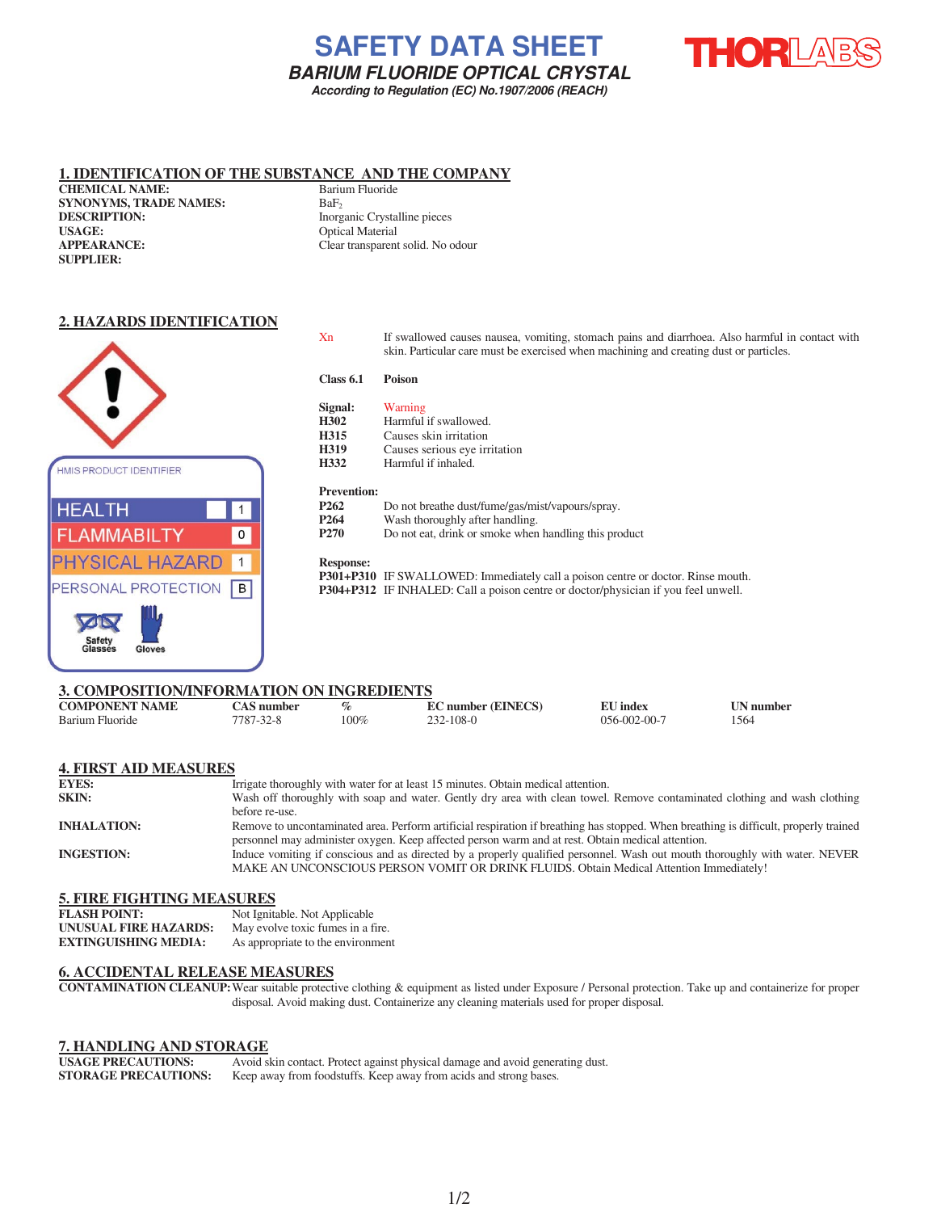## **SAFETY DATA SHEET** *BARIUM FLUORIDE OPTICAL CRYSTAL According to Regulation (EC) No.1907/2006 (REACH)*



## **1. IDENTIFICATION OF THE SUBSTANCE AND THE COMPANY**



### **2. HAZARDS IDENTIFICATION**

Xn If swallowed causes nausea, vomiting, stomach pains and diarrhoea. Also harmful in contact with skin. Particular care must be exercised when machining and creating dust or particles. **Class 6.1 Poison Signal:** Warning **H302 Harmful if swallowed.**<br>**H315 Causes skin irritation H315** Causes skin irritation<br>**H319** Causes serious eye irr Causes serious eye irritation **H332** Harmful if inhaled. HMIS PRODUCT IDENTIFIER **Prevention: P262** Do not breathe dust/fume/gas/mist/vapours/spray. **HEALTH**  $\overline{1}$ **P264** Wash thoroughly after handling.<br>**P270** Do not eat, drink or smoke when **FLAMMABILTY**  $\overline{0}$ Do not eat, drink or smoke when handling this product PHYSICAL HAZARD  $\vert$  1 **Response: P301+P310** IF SWALLOWED: Immediately call a poison centre or doctor. Rinse mouth. PERSONAL PROTECTION  $\boxed{B}$ **P304+P312** IF INHALED: Call a poison centre or doctor/physician if you feel unwell. Safety<br>Glasses Gloves

## **3. COMPOSITION/INFORMATION ON INGREDIENTS**

| <b>COMPONENT NAME</b>             | <b>CAS</b> number                                                                                                         | $\%$                                                                              | <b>EC</b> number (EINECS)                                                                                                             | EU index                | <b>UN</b> number |  |
|-----------------------------------|---------------------------------------------------------------------------------------------------------------------------|-----------------------------------------------------------------------------------|---------------------------------------------------------------------------------------------------------------------------------------|-------------------------|------------------|--|
| Barium Fluoride                   | 7787-32-8                                                                                                                 | $100\%$                                                                           | $232 - 108 - 0$                                                                                                                       | $0.56 - 0.02 - 0.0 - 7$ | 1564             |  |
|                                   |                                                                                                                           |                                                                                   |                                                                                                                                       |                         |                  |  |
|                                   |                                                                                                                           |                                                                                   |                                                                                                                                       |                         |                  |  |
| <b>4. FIRST AID MEASURES</b>      |                                                                                                                           |                                                                                   |                                                                                                                                       |                         |                  |  |
| <b>EYES:</b>                      |                                                                                                                           | Irrigate thoroughly with water for at least 15 minutes. Obtain medical attention. |                                                                                                                                       |                         |                  |  |
| SKIN:                             | Wash off thoroughly with soap and water. Gently dry area with clean towel. Remove contaminated clothing and wash clothing |                                                                                   |                                                                                                                                       |                         |                  |  |
|                                   | before re-use.                                                                                                            |                                                                                   |                                                                                                                                       |                         |                  |  |
| <b>INHALATION:</b>                |                                                                                                                           |                                                                                   | Remove to uncontaminated area. Perform artificial respiration if breathing has stopped. When breathing is difficult, properly trained |                         |                  |  |
|                                   |                                                                                                                           |                                                                                   | personnel may administer oxygen. Keep affected person warm and at rest. Obtain medical attention.                                     |                         |                  |  |
| <b>INGESTION:</b>                 |                                                                                                                           |                                                                                   | Induce vomiting if conscious and as directed by a properly qualified personnel. Wash out mouth thoroughly with water. NEVER           |                         |                  |  |
|                                   |                                                                                                                           |                                                                                   | MAKE AN UNCONSCIOUS PERSON VOMIT OR DRINK FLUIDS. Obtain Medical Attention Immediately!                                               |                         |                  |  |
|                                   |                                                                                                                           |                                                                                   |                                                                                                                                       |                         |                  |  |
| $\epsilon$ -bind biational motors |                                                                                                                           |                                                                                   |                                                                                                                                       |                         |                  |  |

#### **5. FIRE FIGHTING MEASURES**

| <b>FLASH POINT:</b>         | Not Ignitable. Not Applicable     |
|-----------------------------|-----------------------------------|
| UNUSUAL FIRE HAZARDS:       | May evolve toxic fumes in a fire. |
| <b>EXTINGUISHING MEDIA:</b> | As appropriate to the environment |

## **6. ACCIDENTAL RELEASE MEASURES**

**CONTAMINATION CLEANUP:** Wear suitable protective clothing & equipment as listed under Exposure / Personal protection. Take up and containerize for proper disposal. Avoid making dust. Containerize any cleaning materials used for proper disposal.

#### **7. HANDLING AND STORAGE**

| <b>USAGE PRECAUTIONS:</b>   | Avoid skin contact. Protect against physical damage and avoid generating dust. |
|-----------------------------|--------------------------------------------------------------------------------|
| <b>STORAGE PRECAUTIONS:</b> | Keep away from foodstuffs. Keep away from acids and strong bases.              |